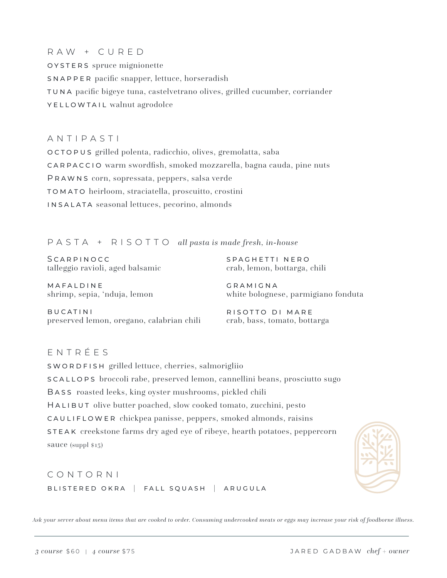RAW + CURED oysters spruce mignionette snapper pacific snapper, lettuce, horseradish tuna pacific bigeye tuna, castelvetrano olives, grilled cucumber, corriander YELLOWTAIL walnut agrodolce

ANTIPASTI octopus grilled polenta, radicchio, olives, gremolatta, saba carpaccio warm swordfish, smoked mozzarella, bagna cauda, pine nuts Prawns corn, sopressata, peppers, salsa verde tomato heirloom, straciatella, proscuitto, crostini insalata seasonal lettuces, pecorino, almonds

## PASTA + RISOTTO *all pasta is made fresh, in-house*

**SCARPINOCC** talleggio ravioli, aged balsamic spaghetti nero crab, lemon, bottarga, chili

mafaldine shrimp, sepia, 'nduja, lemon

gramigna white bolognese, parmigiano fonduta

bucatini preserved lemon, oregano, calabrian chili

risotto di mare crab, bass, tomato, bottarga

## ENTRÉES

swordfish grilled lettuce, cherries, salmorigliio scallops broccoli rabe, preserved lemon, cannellini beans, prosciutto sugo Bass roasted leeks, king oyster mushrooms, pickled chili HALIBUT olive butter poached, slow cooked tomato, zucchini, pesto cauliflower chickpea panisse, peppers, smoked almonds, raisins steak creekstone farms dry aged eye of ribeye, hearth potatoes, peppercorn sauce (suppl \$15)

CONTORNI blistered okra | fall squash | arugula



*Ask your server about menu items that are cooked to order. Consuming undercooked meats or eggs may increase your risk of foodborne illness.*